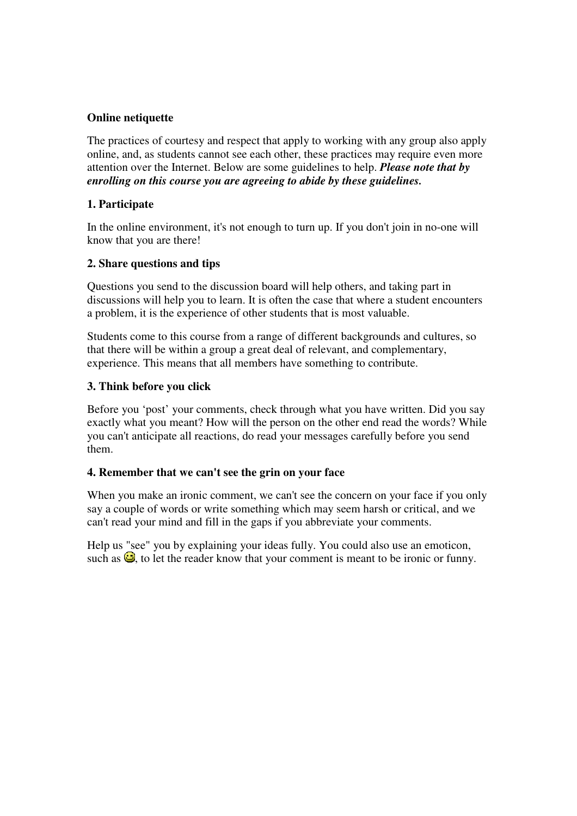## **Online netiquette**

The practices of courtesy and respect that apply to working with any group also apply online, and, as students cannot see each other, these practices may require even more attention over the Internet. Below are some guidelines to help. *Please note that by enrolling on this course you are agreeing to abide by these guidelines.* 

## **1. Participate**

In the online environment, it's not enough to turn up. If you don't join in no-one will know that you are there!

# **2. Share questions and tips**

Questions you send to the discussion board will help others, and taking part in discussions will help you to learn. It is often the case that where a student encounters a problem, it is the experience of other students that is most valuable.

Students come to this course from a range of different backgrounds and cultures, so that there will be within a group a great deal of relevant, and complementary, experience. This means that all members have something to contribute.

## **3. Think before you click**

Before you 'post' your comments, check through what you have written. Did you say exactly what you meant? How will the person on the other end read the words? While you can't anticipate all reactions, do read your messages carefully before you send them.

## **4. Remember that we can't see the grin on your face**

When you make an ironic comment, we can't see the concern on your face if you only say a couple of words or write something which may seem harsh or critical, and we can't read your mind and fill in the gaps if you abbreviate your comments.

Help us "see" you by explaining your ideas fully. You could also use an emoticon, such as  $\mathbb{G}$ , to let the reader know that your comment is meant to be ironic or funny.